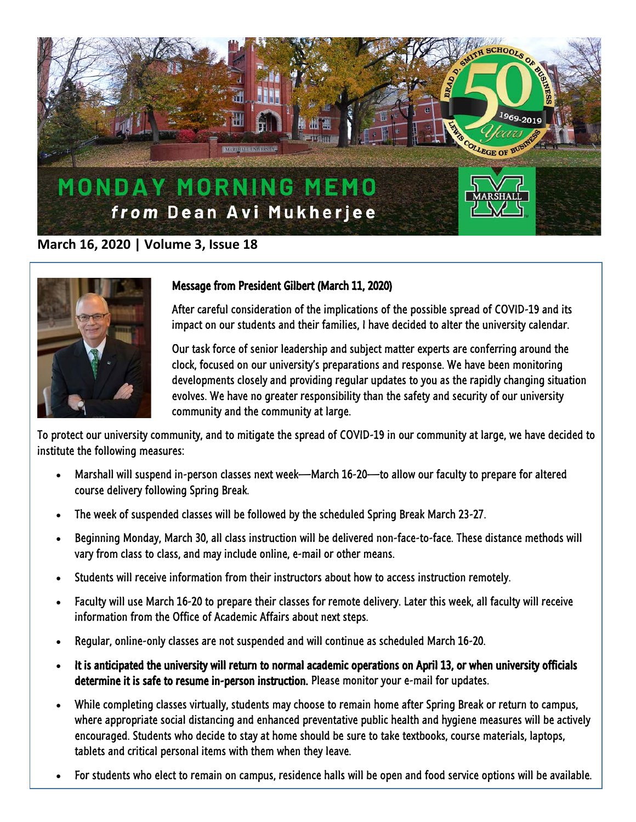

## **March 16, 2020 | Volume 3, Issue 18**



## Message from President Gilbert (March 11, 2020)

After careful consideration of the implications of the possible spread of COVID-19 and its impact on our students and their families, I have decided to alter the university calendar.

Our task force of senior leadership and subject matter experts are conferring around the clock, focused on our university's preparations and response. We have been monitoring developments closely and providing regular updates to you as the rapidly changing situation evolves. We have no greater responsibility than the safety and security of our university community and the community at large.

To protect our university community, and to mitigate the spread of COVID-19 in our community at large, we have decided to institute the following measures:

- Marshall will suspend in-person classes next week—March 16-20—to allow our faculty to prepare for altered course delivery following Spring Break.
- The week of suspended classes will be followed by the scheduled Spring Break March 23-27.
- Beginning Monday, March 30, all class instruction will be delivered non-face-to-face. These distance methods will vary from class to class, and may include online, e-mail or other means.
- Students will receive information from their instructors about how to access instruction remotely.
- Faculty will use March 16-20 to prepare their classes for remote delivery. Later this week, all faculty will receive information from the Office of Academic Affairs about next steps.
- Regular, online-only classes are not suspended and will continue as scheduled March 16-20.
- It is anticipated the university will return to normal academic operations on April 13, or when university officials determine it is safe to resume in-person instruction. Please monitor your e-mail for updates.
- While completing classes virtually, students may choose to remain home after Spring Break or return to campus, where appropriate social distancing and enhanced preventative public health and hygiene measures will be actively encouraged. Students who decide to stay at home should be sure to take textbooks, course materials, laptops, tablets and critical personal items with them when they leave.
- For students who elect to remain on campus, residence halls will be open and food service options will be available.